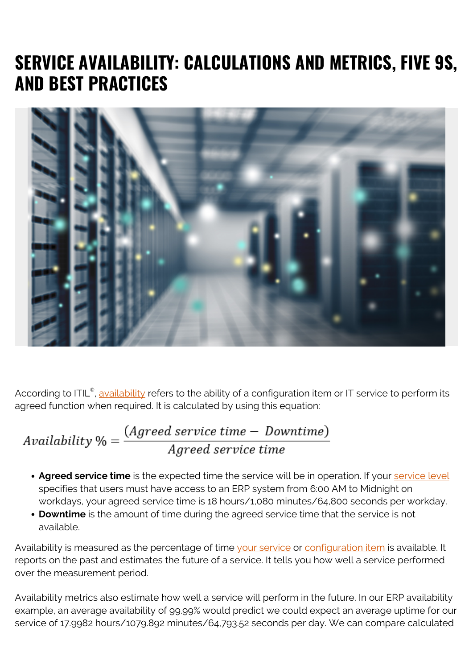## **SERVICE AVAILABILITY: CALCULATIONS AND METRICS, FIVE 9S, AND BEST PRACTICES**



According to ITIL®, <u>[availability](https://blogs.bmc.com/blogs/reliability-vs-availability/)</u> refers to the ability of a configuration item or IT service to perform its agreed function when required. It is calculated by using this equation:

# $\label{eq:1} \textit{Availableility\,\%} = \frac{(\textit{Agreed service time} - \textit{Downtime})}{\textit{Agreed service time}}$

- **Agreed service time** is the expected time the service will be in operation. If your **service level** specifies that users must have access to an ERP system from 6:00 AM to Midnight on workdays, your agreed service time is 18 hours/1,080 minutes/64,800 seconds per workday.
- **Downtime** is the amount of time during the agreed service time that the service is not available.

Availability is measured as the percentage of time [your service](https://blogs.bmc.com/blogs/it-service/) or [configuration item](https://blogs.bmc.com/blogs/asset-management-vs-configuration-management/) is available. It reports on the past and estimates the future of a service. It tells you how well a service performed over the measurement period.

Availability metrics also estimate how well a service will perform in the future. In our ERP availability example, an average availability of 99.99% would predict we could expect an average uptime for our service of 17.9982 hours/1079.892 minutes/64,793.52 seconds per day. We can compare calculated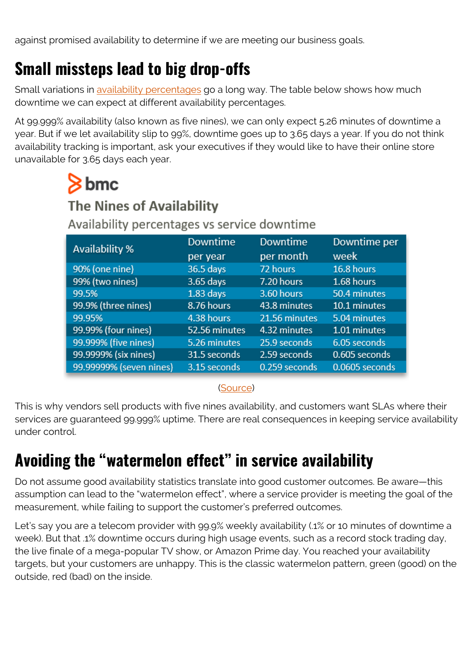against promised availability to determine if we are meeting our business goals.

#### **Small missteps lead to big drop-offs**

Small variations in [availability percentages](https://en.wikipedia.org/wiki/High_availability#Percentage_calculation) go a long way. The table below shows how much downtime we can expect at different availability percentages.

At 99.999% availability (also known as five nines), we can only expect 5.26 minutes of downtime a year. But if we let availability slip to 99%, downtime goes up to 3.65 days a year. If you do not think availability tracking is important, ask your executives if they would like to have their online store unavailable for 3.65 days each year.

## $8<sub>bmc</sub>$

#### **The Nines of Availability**

#### Availability percentages vs service downtime

| Availability %          | Downtime      | <b>Downtime</b> | Downtime per   |
|-------------------------|---------------|-----------------|----------------|
|                         | per year      | per month       | week           |
| 90% (one nine)          | 36.5 days     | 72 hours        | 16.8 hours     |
| 99% (two nines)         | 3.65 days     | 7.20 hours      | 1.68 hours     |
| 99.5%                   | $1.83$ days   | 3.60 hours      | 50.4 minutes   |
| 99.9% (three nines)     | 8.76 hours    | 43.8 minutes    | 10.1 minutes   |
| 99.95%                  | 4.38 hours    | 21.56 minutes   | 5.04 minutes   |
| 99.99% (four nines)     | 52.56 minutes | 4.32 minutes    | 1.01 minutes   |
| 99.999% (five nines)    | 5.26 minutes  | 25.9 seconds    | 6.05 seconds   |
| 99.9999% (six nines)    | 31.5 seconds  | 2.59 seconds    | 0.605 seconds  |
| 99.99999% (seven nines) | 3.15 seconds  | 0.259 seconds   | 0.0605 seconds |

#### ([Source](https://web.archive.org/web/20180728204314/https:/www.digitaldaniels.com/availability-service-level-9s-equate/))

This is why vendors sell products with five nines availability, and customers want SLAs where their services are guaranteed 99.999% uptime. There are real consequences in keeping service availability under control.

## **Avoiding the "watermelon effect" in service availability**

Do not assume good availability statistics translate into good customer outcomes. Be aware—this assumption can lead to the "watermelon effect", where a service provider is meeting the goal of the measurement, while failing to support the customer's preferred outcomes.

Let's say you are a telecom provider with 99.9% weekly availability (.1% or 10 minutes of downtime a week). But that .1% downtime occurs during high usage events, such as a record stock trading day, the live finale of a mega-popular TV show, or Amazon Prime day. You reached your availability targets, but your customers are unhappy. This is the classic watermelon pattern, green (good) on the outside, red (bad) on the inside.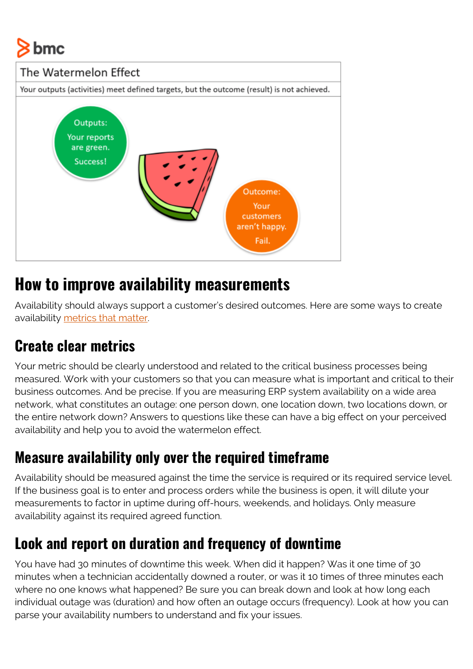# bmc



#### **How to improve availability measurements**

Availability should always support a customer's desired outcomes. Here are some ways to create availability [metrics that matter](https://blogs.bmc.com/blogs/it-metrics/).

#### **Create clear metrics**

Your metric should be clearly understood and related to the critical business processes being measured. Work with your customers so that you can measure what is important and critical to their business outcomes. And be precise. If you are measuring ERP system availability on a wide area network, what constitutes an outage: one person down, one location down, two locations down, or the entire network down? Answers to questions like these can have a big effect on your perceived availability and help you to avoid the watermelon effect.

#### **Measure availability only over the required timeframe**

Availability should be measured against the time the service is required or its required service level. If the business goal is to enter and process orders while the business is open, it will dilute your measurements to factor in uptime during off-hours, weekends, and holidays. Only measure availability against its required agreed function.

#### **Look and report on duration and frequency of downtime**

You have had 30 minutes of downtime this week. When did it happen? Was it one time of 30 minutes when a technician accidentally downed a router, or was it 10 times of three minutes each where no one knows what happened? Be sure you can break down and look at how long each individual outage was (duration) and how often an outage occurs (frequency). Look at how you can parse your availability numbers to understand and fix your issues.